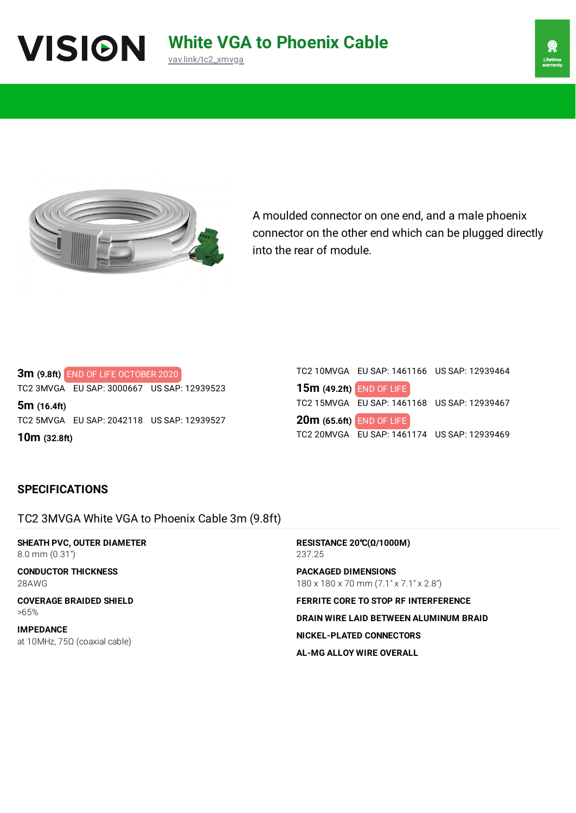



A moulded connector on one end, and a male phoenix connector on the other end which can be plugged directly into the rear of module.

**3m (9.8ft)** END OF LIFE OCTOBER 2020 TC2 3MVGA EU SAP: 3000667 US SAP: 12939523 **5m (16.4ft)**

TC2 5MVGA EU SAP: 2042118 US SAP: 12939527

**10m (32.8ft)**

|                                 | TC2 10MVGA EU SAP: 1461166 US SAP: 12939464 |
|---------------------------------|---------------------------------------------|
| 15m (49.2ft) END OF LIFE        |                                             |
|                                 | TC2 15MVGA EU SAP: 1461168 US SAP: 12939467 |
| <b>20m (65.6ft) END OF LIFE</b> |                                             |
|                                 | TC2 20MVGA EU SAP: 1461174 US SAP: 12939469 |

# **SPECIFICATIONS**

TC2 3MVGA White VGA to Phoenix Cable 3m (9.8ft)

**SHEATH PVC, OUTER DIAMETER** 8.0 mm (0.31")

**CONDUCTOR THICKNESS** 28AWG

**COVERAGE BRAIDED SHIELD** >65%

**IMPEDANCE** at 10MHz, 75Ω (coaxial cable) **RESISTANCE 20**℃**(Ω/1000M)** 237.25 **PACKAGED DIMENSIONS** 180 x 180 x 70 mm (7.1" x 7.1" x 2.8") **FERRITE CORE TO STOP RF INTERFERENCE DRAIN WIRE LAID BETWEEN ALUMINUM BRAID**

**NICKEL-PLATED CONNECTORS**

**AL-MG ALLOY WIRE OVERALL**